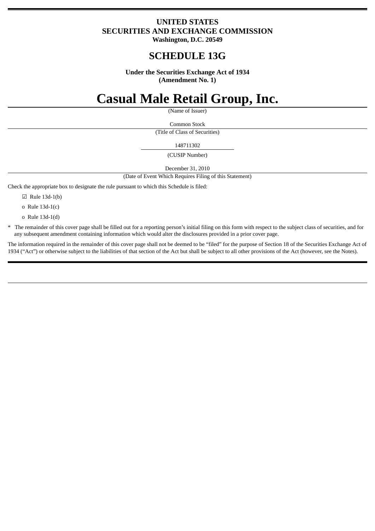### **UNITED STATES SECURITIES AND EXCHANGE COMMISSION Washington, D.C. 20549**

## **SCHEDULE 13G**

**Under the Securities Exchange Act of 1934 (Amendment No. 1)**

# **Casual Male Retail Group, Inc.**

(Name of Issuer)

Common Stock (Title of Class of Securities)

148711302

(CUSIP Number)

December 31, 2010

(Date of Event Which Requires Filing of this Statement)

Check the appropriate box to designate the rule pursuant to which this Schedule is filed:

☑ Rule 13d-1(b)

o Rule 13d-1(c)

o Rule 13d-1(d)

\* The remainder of this cover page shall be filled out for a reporting person's initial filing on this form with respect to the subject class of securities, and for any subsequent amendment containing information which would alter the disclosures provided in a prior cover page.

The information required in the remainder of this cover page shall not be deemed to be "filed" for the purpose of Section 18 of the Securities Exchange Act of 1934 ("Act") or otherwise subject to the liabilities of that section of the Act but shall be subject to all other provisions of the Act (however, see the Notes).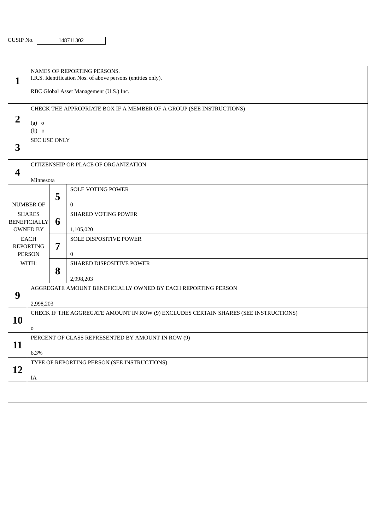| $\mathbf{1}$                                                                                                                      | NAMES OF REPORTING PERSONS.<br>I.R.S. Identification Nos. of above persons (entities only).<br>RBC Global Asset Management (U.S.) Inc. |   |                                          |
|-----------------------------------------------------------------------------------------------------------------------------------|----------------------------------------------------------------------------------------------------------------------------------------|---|------------------------------------------|
| $\overline{2}$                                                                                                                    | CHECK THE APPROPRIATE BOX IF A MEMBER OF A GROUP (SEE INSTRUCTIONS)<br>$(a)$ o<br>$(b)$ o                                              |   |                                          |
| 3                                                                                                                                 | SEC USE ONLY                                                                                                                           |   |                                          |
| 4                                                                                                                                 | CITIZENSHIP OR PLACE OF ORGANIZATION<br>Minnesota                                                                                      |   |                                          |
| <b>NUMBER OF</b><br><b>SHARES</b><br><b>BENEFICIALLY</b><br>OWNED BY<br><b>EACH</b><br><b>REPORTING</b><br><b>PERSON</b><br>WITH: |                                                                                                                                        | 5 | <b>SOLE VOTING POWER</b><br>$\bf{0}$     |
|                                                                                                                                   |                                                                                                                                        | 6 | <b>SHARED VOTING POWER</b><br>1,105,020  |
|                                                                                                                                   |                                                                                                                                        | 7 | SOLE DISPOSITIVE POWER<br>$\overline{0}$ |
|                                                                                                                                   |                                                                                                                                        | 8 | SHARED DISPOSITIVE POWER<br>2,998,203    |
| 9                                                                                                                                 | AGGREGATE AMOUNT BENEFICIALLY OWNED BY EACH REPORTING PERSON<br>2,998,203                                                              |   |                                          |
| 10                                                                                                                                | CHECK IF THE AGGREGATE AMOUNT IN ROW (9) EXCLUDES CERTAIN SHARES (SEE INSTRUCTIONS)<br>0                                               |   |                                          |
| 11                                                                                                                                | PERCENT OF CLASS REPRESENTED BY AMOUNT IN ROW (9)<br>6.3%                                                                              |   |                                          |
| 12                                                                                                                                | TYPE OF REPORTING PERSON (SEE INSTRUCTIONS)<br>IA                                                                                      |   |                                          |
|                                                                                                                                   |                                                                                                                                        |   |                                          |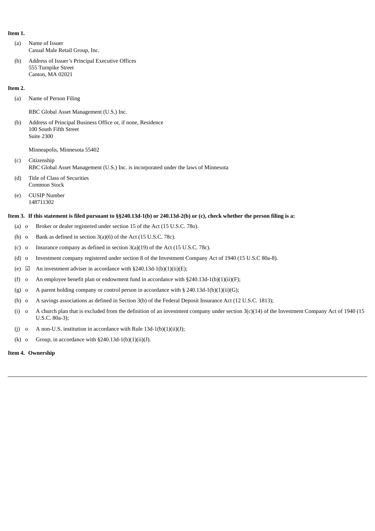#### **Item 1.**

- (a) Name of Issuer Casual Male Retail Group, Inc.
- (b) Address of Issuer's Principal Executive Offices 555 Turnpike Street Canton, MA 02021

#### **Item 2.**

(a) Name of Person Filing

RBC Global Asset Management (U.S.) Inc.

(b) Address of Principal Business Office or, if none, Residence 100 South Fifth Street Suite 2300

Minneapolis, Minnesota 55402

- (c) Citizenship RBC Global Asset Management (U.S.) Inc. is incorporated under the laws of Minnesota
- (d) Title of Class of Securities Common Stock
- (e) CUSIP Number 148711302

#### Item 3. If this statement is filed pursuant to §§240.13d-1(b) or 240.13d-2(b) or (c), check whether the person filing is a:

- (a) o Broker or dealer registered under section 15 of the Act (15 U.S.C. 78o).
- (b) o Bank as defined in section 3(a)(6) of the Act (15 U.S.C. 78c).
- (c) o Insurance company as defined in section 3(a)(19) of the Act (15 U.S.C. 78c).
- (d) o Investment company registered under section 8 of the Investment Company Act of 1940 (15 U.S.C 80a-8).
- (e)  $\boxtimes$  An investment adviser in accordance with §240.13d-1(b)(1)(ii)(E);
- (f) o An employee benefit plan or endowment fund in accordance with  $\S 240.13d-1(b)(1)(ii)(F)$ ;
- (g) o A parent holding company or control person in accordance with § 240.13d-1(b)(1)(ii)(G);
- (h) o A savings associations as defined in Section 3(b) of the Federal Deposit Insurance Act (12 U.S.C. 1813);
- (i) o A church plan that is excluded from the definition of an investment company under section 3(c)(14) of the Investment Company Act of 1940 (15 U.S.C. 80a-3);
- (j) o A non-U.S. institution in accordance with Rule  $13d-1(b)(1)(ii)(J)$ ;
- (k) o Group, in accordance with  $\S 240.13d-1(b)(1)(ii)(J)$ .

#### **Item 4. Ownership**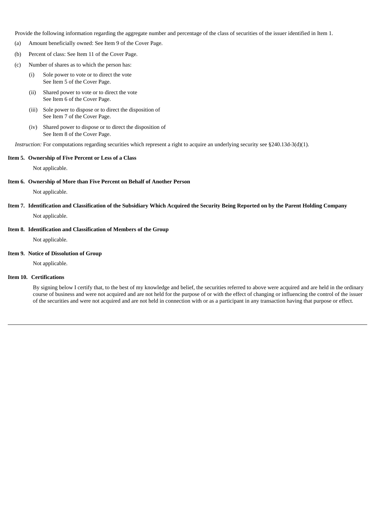Provide the following information regarding the aggregate number and percentage of the class of securities of the issuer identified in Item 1.

- (a) Amount beneficially owned: See Item 9 of the Cover Page.
- (b) Percent of class: See Item 11 of the Cover Page.
- (c) Number of shares as to which the person has:
	- (i) Sole power to vote or to direct the vote See Item 5 of the Cover Page.
	- (ii) Shared power to vote or to direct the vote See Item 6 of the Cover Page.
	- (iii) Sole power to dispose or to direct the disposition of See Item 7 of the Cover Page.
	- (iv) Shared power to dispose or to direct the disposition of See Item 8 of the Cover Page.

*Instruction:* For computations regarding securities which represent a right to acquire an underlying security see §240.13d-3(d)(1).

#### **Item 5. Ownership of Five Percent or Less of a Class**

Not applicable.

#### **Item 6. Ownership of More than Five Percent on Behalf of Another Person**

Not applicable.

#### Item 7. Identification and Classification of the Subsidiary Which Acquired the Security Being Reported on by the Parent Holding Company

Not applicable.

#### **Item 8. Identification and Classification of Members of the Group**

Not applicable.

#### **Item 9. Notice of Dissolution of Group**

Not applicable.

#### **Item 10. Certifications**

By signing below I certify that, to the best of my knowledge and belief, the securities referred to above were acquired and are held in the ordinary course of business and were not acquired and are not held for the purpose of or with the effect of changing or influencing the control of the issuer of the securities and were not acquired and are not held in connection with or as a participant in any transaction having that purpose or effect.